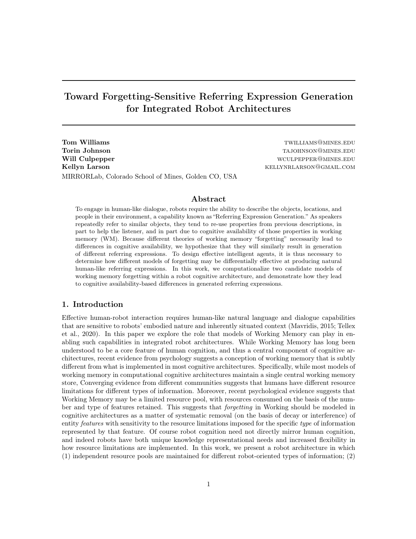# Toward Forgetting-Sensitive Referring Expression Generation for Integrated Robot Architectures

**Tom Williams** twilliams that the control of the control of the control of the control of the control of the control of the control of the control of the control of the control of the control of the control of the control **Torin Johnson** tajohnson tajohnson tajohnson tajohnson tajohnson tajohnson tajohnson tajohnson tajohnson tajohnson tajohnson tajohnson tajohnson tajohnson tajohnson tajohnson tajohnson tajohnson tajohnson tajohnson tajohn Will Culpepper with the control of the control with the control with the with the with the with the with the control with the with the with the with the with the with the with the with the with the with the with the with t Kellyn Larson **Kellyn Larson** Kellynrlarson **Communist Communist Communist Communist Communist Communist Communist Communist Communist Communist Communist Communist Communist Communist Communist Communist Communist Communi** MIRRORLab, Colorado School of Mines, Golden CO, USA

#### Abstract

To engage in human-like dialogue, robots require the ability to describe the objects, locations, and people in their environment, a capability known as "Referring Expression Generation." As speakers repeatedly refer to similar objects, they tend to re-use properties from previous descriptions, in part to help the listener, and in part due to cognitive availability of those properties in working memory (WM). Because different theories of working memory "forgetting" necessarily lead to differences in cognitive availability, we hypothesize that they will similarly result in generation of different referring expressions. To design effective intelligent agents, it is thus necessary to determine how different models of forgetting may be differentially effective at producing natural human-like referring expressions. In this work, we computationalize two candidate models of working memory forgetting within a robot cognitive architecture, and demonstrate how they lead to cognitive availability-based differences in generated referring expressions.

# 1. Introduction

Effective human-robot interaction requires human-like natural language and dialogue capabilities that are sensitive to robots' embodied nature and inherently situated context (Mavridis, 2015; Tellex et al., 2020). In this paper we explore the role that models of Working Memory can play in enabling such capabilities in integrated robot architectures. While Working Memory has long been understood to be a core feature of human cognition, and thus a central component of cognitive architectures, recent evidence from psychology suggests a conception of working memory that is subtly different from what is implemented in most cognitive architectures. Specifically, while most models of working memory in computational cognitive architectures maintain a single central working memory store, Converging evidence from different communities suggests that humans have different resource limitations for different types of information. Moreover, recent psychological evidence suggests that Working Memory may be a limited resource pool, with resources consumed on the basis of the number and type of features retained. This suggests that forgetting in Working should be modeled in cognitive architectures as a matter of systematic removal (on the basis of decay or interference) of entity *features* with sensitivity to the resource limitations imposed for the specific type of information represented by that feature. Of course robot cognition need not directly mirror human cognition, and indeed robots have both unique knowledge representational needs and increased flexibility in how resource limitations are implemented. In this work, we present a robot architecture in which (1) independent resource pools are maintained for different robot-oriented types of information; (2)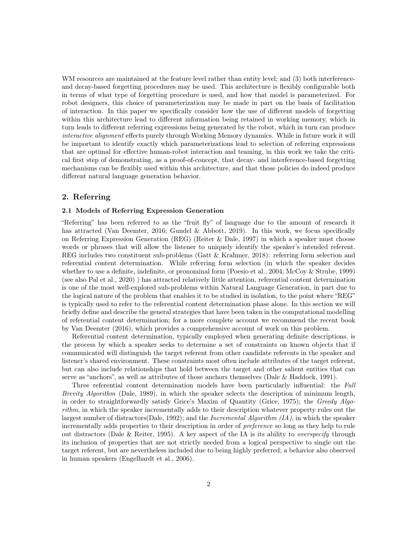WM resources are maintained at the feature level rather than entity level; and (3) both interferenceand decay-based forgetting procedures may be used. This architecture is flexibly configurable both in terms of what type of forgetting procedure is used, and how that model is parameterized. For robot designers, this choice of parameterization may be made in part on the basis of facilitation of interaction. In this paper we specifically consider how the use of different models of forgetting within this architecture lead to different information being retained in working memory, which in turn leads to different referring expressions being generated by the robot, which in turn can produce interactive alignment effects purely through Working Memory dynamics. While in future work it will be important to identify exactly which parameterizations lead to selection of referring expressions that are optimal for effective human-robot interaction and teaming, in this work we take the critical first step of demonstrating, as a proof-of-concept, that decay- and interference-based forgetting mechanisms can be flexibly used within this architecture, and that those policies do indeed produce different natural language generation behavior.

## 2. Referring

#### 2.1 Models of Referring Expression Generation

"Referring" has been referred to as the "fruit fly" of language due to the amount of research it has attracted (Van Deemter, 2016; Gundel & Abbott, 2019). In this work, we focus specifically on Referring Expression Generation (REG) (Reiter & Dale, 1997) in which a speaker must choose words or phrases that will allow the listener to uniquely identify the speaker's intended referent. REG includes two constituent sub-problems (Gatt & Krahmer, 2018): referring form selection and referential content determination. While referring form selection (in which the speaker decides whether to use a definite, indefinite, or pronominal form (Poesio et al., 2004; McCoy & Strube, 1999) (see also Pal et al., 2020) ) has attracted relatively little attention, referential content determination is one of the most well-explored sub-problems within Natural Language Generation, in part due to the logical nature of the problem that enables it to be studied in isolation, to the point where "REG" is typically used to refer to the referential content determination phase alone. In this section we will briefly define and describe the general strategies that have been taken in the computational modelling of referential content determination; for a more complete account we recommend the recent book by Van Deemter (2016), which provides a comprehensive account of work on this problem.

Referential content determination, typically employed when generating definite descriptions, is the process by which a speaker seeks to determine a set of constraints on known objects that if communicated will distinguish the target referent from other candidate referents in the speaker and listener's shared environment. These constraints most often include attributes of the target referent, but can also include relationships that hold between the target and other salient entities that can serve as "anchors", as well as attributes of those anchors themselves (Dale & Haddock, 1991).

Three referential content determination models have been particularly influential: the Full Brevity Algorithm (Dale, 1989), in which the speaker selects the description of minimum length, in order to straightforwardly satisfy Grice's Maxim of Quantity (Grice, 1975); the Greedy Algorithm, in which the speaker incrementally adds to their description whatever property rules out the largest number of distractors(Dale, 1992); and the *Incremental Algorithm (IA)*, in which the speaker incrementally adds properties to their description in order of preference so long as they help to rule out distractors (Dale & Reiter, 1995). A key aspect of the IA is its ability to *overspecify* through its inclusion of properties that are not strictly needed from a logical perspective to single out the target referent, but are nevertheless included due to being highly preferred; a behavior also observed in human speakers (Engelhardt et al., 2006).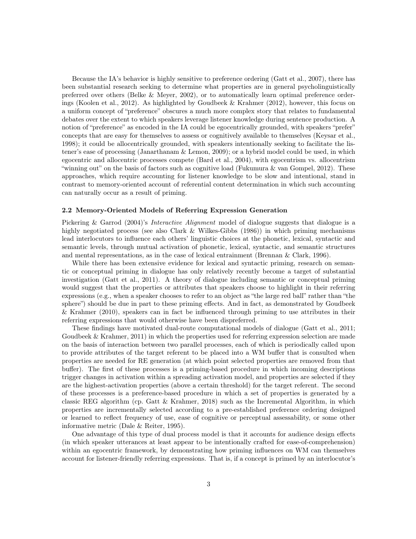Because the IA's behavior is highly sensitive to preference ordering (Gatt et al., 2007), there has been substantial research seeking to determine what properties are in general psycholinguistically preferred over others (Belke & Meyer, 2002), or to automatically learn optimal preference orderings (Koolen et al., 2012). As highlighted by Goudbeek & Krahmer (2012), however, this focus on a uniform concept of "preference" obscures a much more complex story that relates to fundamental debates over the extent to which speakers leverage listener knowledge during sentence production. A notion of "preference" as encoded in the IA could be egocentrically grounded, with speakers "prefer" concepts that are easy for themselves to assess or cognitively available to themselves (Keysar et al., 1998); it could be allocentrically grounded, with speakers intentionally seeking to facilitate the listener's ease of processing (Janarthanam & Lemon, 2009); or a hybrid model could be used, in which egocentric and allocentric processes compete (Bard et al., 2004), with egocentrism vs. allocentrism "winning out" on the basis of factors such as cognitive load (Fukumura & van Gompel, 2012). These approaches, which require accounting for listener knowledge to be slow and intentional, stand in contrast to memory-oriented account of referential content determination in which such accounting can naturally occur as a result of priming.

#### 2.2 Memory-Oriented Models of Referring Expression Generation

Pickering & Garrod (2004)'s *Interactive Alignment* model of dialogue suggests that dialogue is a highly negotiated process (see also Clark & Wilkes-Gibbs (1986)) in which priming mechanisms lead interlocutors to influence each others' linguistic choices at the phonetic, lexical, syntactic and semantic levels, through mutual activation of phonetic, lexical, syntactic, and semantic structures and mental representations, as in the case of lexical entrainment (Brennan & Clark, 1996).

While there has been extensive evidence for lexical and syntactic priming, research on semantic or conceptual priming in dialogue has only relatively recently become a target of substantial investigation (Gatt et al., 2011). A theory of dialogue including semantic or conceptual priming would suggest that the properties or attributes that speakers choose to highlight in their referring expressions (e.g., when a speaker chooses to refer to an object as "the large red ball" rather than "the sphere") should be due in part to these priming effects. And in fact, as demonstrated by Goudbeek & Krahmer (2010), speakers can in fact be influenced through priming to use attributes in their referring expressions that would otherwise have been dispreferred.

These findings have motivated dual-route computational models of dialogue (Gatt et al., 2011; Goudbeek & Krahmer, 2011) in which the properties used for referring expression selection are made on the basis of interaction between two parallel processes, each of which is periodically called upon to provide attributes of the target referent to be placed into a WM buffer that is consulted when properties are needed for RE generation (at which point selected properties are removed from that buffer). The first of these processes is a priming-based procedure in which incoming descriptions trigger changes in activation within a spreading activation model, and properties are selected if they are the highest-activation properties (above a certain threshold) for the target referent. The second of these processes is a preference-based procedure in which a set of properties is generated by a classic REG algorithm (cp. Gatt & Krahmer, 2018) such as the Incremental Algorithm, in which properties are incrementally selected according to a pre-established preference ordering designed or learned to reflect frequency of use, ease of cognitive or perceptual assessability, or some other informative metric (Dale & Reiter, 1995).

One advantage of this type of dual process model is that it accounts for audience design effects (in which speaker utterances at least appear to be intentionally crafted for ease-of-comprehension) within an egocentric framework, by demonstrating how priming influences on WM can themselves account for listener-friendly referring expressions. That is, if a concept is primed by an interlocutor's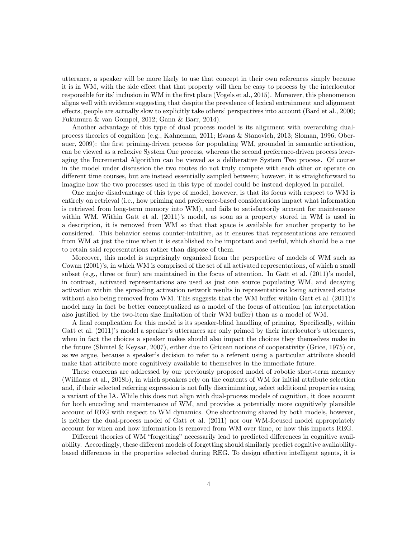utterance, a speaker will be more likely to use that concept in their own references simply because it is in WM, with the side effect that that property will then be easy to process by the interlocutor responsible for its' inclusion in WM in the first place (Vogels et al., 2015). Moreover, this phenomenon aligns well with evidence suggesting that despite the prevalence of lexical entrainment and alignment effects, people are actually slow to explicitly take others' perspectives into account (Bard et al., 2000; Fukumura & van Gompel, 2012; Gann & Barr, 2014).

Another advantage of this type of dual process model is its alignment with overarching dualprocess theories of cognition (e.g., Kahneman, 2011; Evans & Stanovich, 2013; Sloman, 1996; Oberauer, 2009): the first priming-driven process for populating WM, grounded in semantic activation, can be viewed as a reflexive System One process, whereas the second preference-driven process leveraging the Incremental Algorithm can be viewed as a deliberative System Two process. Of course in the model under discussion the two routes do not truly compete with each other or operate on different time courses, but are instead essentially sampled between; however, it is straightforward to imagine how the two processes used in this type of model could be instead deployed in parallel.

One major disadvantage of this type of model, however, is that its focus with respect to WM is entirely on retrieval (i.e., how priming and preference-based considerations impact what information is retrieved from long-term memory into WM), and fails to satisfactorily account for maintenance within WM. Within Gatt et al. (2011)'s model, as soon as a property stored in WM is used in a description, it is removed from WM so that that space is available for another property to be considered. This behavior seems counter-intuitive, as it ensures that representations are removed from WM at just the time when it is established to be important and useful, which should be a cue to retain said representations rather than dispose of them.

Moreover, this model is surprisingly organized from the perspective of models of WM such as Cowan (2001)'s, in which WM is comprised of the set of all activated representations, of which a small subset (e.g., three or four) are maintained in the focus of attention. In Gatt et al. (2011)'s model, in contrast, activated representations are used as just one source populating WM, and decaying activation within the spreading activation network results in representations losing activated status without also being removed from WM. This suggests that the WM buffer within Gatt et al. (2011)'s model may in fact be better conceptualized as a model of the focus of attention (an interpretation also justified by the two-item size limitation of their WM buffer) than as a model of WM.

A final complication for this model is its speaker-blind handling of priming. Specifically, within Gatt et al.  $(2011)$ 's model a speaker's utterances are only primed by their interlocutor's utterances, when in fact the choices a speaker makes should also impact the choices they themselves make in the future (Shintel & Keysar, 2007), either due to Gricean notions of cooperativity (Grice, 1975) or, as we argue, because a speaker's decision to refer to a referent using a particular attribute should make that attribute more cognitively available to themselves in the immediate future.

These concerns are addressed by our previously proposed model of robotic short-term memory (Williams et al., 2018b), in which speakers rely on the contents of WM for initial attribute selection and, if their selected referring expression is not fully discriminating, select additional properties using a variant of the IA. While this does not align with dual-process models of cognition, it does account for both encoding and maintenance of WM, and provides a potentially more cognitively plausible account of REG with respect to WM dynamics. One shortcoming shared by both models, however, is neither the dual-process model of Gatt et al. (2011) nor our WM-focused model appropriately account for when and how information is removed from WM over time, or how this impacts REG.

Different theories of WM "forgetting" necessarily lead to predicted differences in cognitive availability. Accordingly, these different models of forgetting should similarly predict cognitive availabilitybased differences in the properties selected during REG. To design effective intelligent agents, it is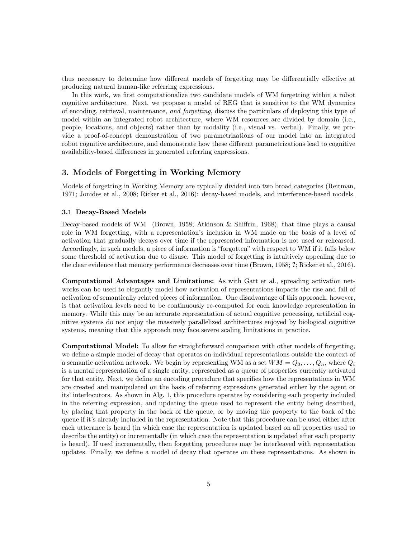thus necessary to determine how different models of forgetting may be differentially effective at producing natural human-like referring expressions.

In this work, we first computationalize two candidate models of WM forgetting within a robot cognitive architecture. Next, we propose a model of REG that is sensitive to the WM dynamics of encoding, retrieval, maintenance, and forgetting, discuss the particulars of deploying this type of model within an integrated robot architecture, where WM resources are divided by domain (i.e., people, locations, and objects) rather than by modality (i.e., visual vs. verbal). Finally, we provide a proof-of-concept demonstration of two parametrizations of our model into an integrated robot cognitive architecture, and demonstrate how these different parametrizations lead to cognitive availability-based differences in generated referring expressions.

# 3. Models of Forgetting in Working Memory

Models of forgetting in Working Memory are typically divided into two broad categories (Reitman, 1971; Jonides et al., 2008; Ricker et al., 2016): decay-based models, and interference-based models.

#### 3.1 Decay-Based Models

Decay-based models of WM (Brown, 1958; Atkinson & Shiffrin, 1968), that time plays a causal role in WM forgetting, with a representation's inclusion in WM made on the basis of a level of activation that gradually decays over time if the represented information is not used or rehearsed. Accordingly, in such models, a piece of information is "forgotten" with respect to WM if it falls below some threshold of activation due to disuse. This model of forgetting is intuitively appealing due to the clear evidence that memory performance decreases over time (Brown, 1958; ?; Ricker et al., 2016).

Computational Advantages and Limitations: As with Gatt et al., spreading activation networks can be used to elegantly model how activation of representations impacts the rise and fall of activation of semantically related pieces of information. One disadvantage of this approach, however, is that activation levels need to be continuously re-computed for each knowledge representation in memory. While this may be an accurate representation of actual cognitive processing, artificial cognitive systems do not enjoy the massively parallelized architectures enjoyed by biological cognitive systems, meaning that this approach may face severe scaling limitations in practice.

Computational Model: To allow for straightforward comparison with other models of forgetting, we define a simple model of decay that operates on individual representations outside the context of a semantic activation network. We begin by representing WM as a set  $WM = Q_0, \ldots, Q_n$ , where  $Q_i$ is a mental representation of a single entity, represented as a queue of properties currently activated for that entity. Next, we define an encoding procedure that specifies how the representations in WM are created and manipulated on the basis of referring expressions generated either by the agent or its' interlocutors. As shown in Alg. 1, this procedure operates by considering each property included in the referring expression, and updating the queue used to represent the entity being described, by placing that property in the back of the queue, or by moving the property to the back of the queue if it's already included in the representation. Note that this procedure can be used either after each utterance is heard (in which case the representation is updated based on all properties used to describe the entity) or incrementally (in which case the representation is updated after each property is heard). If used incrementally, then forgetting procedures may be interleaved with representation updates. Finally, we define a model of decay that operates on these representations. As shown in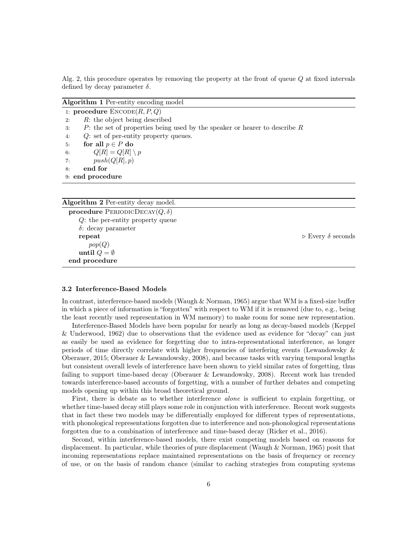Alg. 2, this procedure operates by removing the property at the front of queue Q at fixed intervals defined by decay parameter  $\delta$ .

| <b>Algorithm 1</b> Per-entity encoding model                                          |  |  |  |  |
|---------------------------------------------------------------------------------------|--|--|--|--|
| 1: procedure $\text{ENCODE}(R, P, Q)$                                                 |  |  |  |  |
| $R$ : the object being described<br>2:                                                |  |  |  |  |
| $P$ : the set of properties being used by the speaker or hearer to describe $R$<br>3: |  |  |  |  |
| $Q$ : set of per-entity property queues.<br>4:                                        |  |  |  |  |
| for all $p \in P$ do<br>5:                                                            |  |  |  |  |
| $Q[R] = Q[R] \setminus p$<br>6:                                                       |  |  |  |  |
| push(Q[R], p)<br>7:                                                                   |  |  |  |  |
| end for<br>8:                                                                         |  |  |  |  |
| 9: end procedure                                                                      |  |  |  |  |
|                                                                                       |  |  |  |  |
|                                                                                       |  |  |  |  |
| <b>Algorithm 2</b> Per-entity decay model.                                            |  |  |  |  |
| <b>procedure</b> PERIODICDECAY $(Q, \delta)$                                          |  |  |  |  |

| <b>procedure</b> PERIODICDECAY( $Q, 0$ ) |                                         |
|------------------------------------------|-----------------------------------------|
| $Q$ : the per-entity property queue      |                                         |
| $\delta$ : decay parameter               |                                         |
| repeat                                   | $\triangleright$ Every $\delta$ seconds |
| pop(Q)                                   |                                         |
| until $Q = \emptyset$                    |                                         |
| end procedure                            |                                         |
|                                          |                                         |

#### 3.2 Interference-Based Models

In contrast, interference-based models (Waugh & Norman, 1965) argue that WM is a fixed-size buffer in which a piece of information is "forgotten" with respect to WM if it is removed (due to, e.g., being the least recently used representation in WM memory) to make room for some new representation.

Interference-Based Models have been popular for nearly as long as decay-based models (Keppel & Underwood, 1962) due to observations that the evidence used as evidence for "decay" can just as easily be used as evidence for forgetting due to intra-representational interference, as longer periods of time directly correlate with higher frequencies of interfering events (Lewandowsky & Oberauer, 2015; Oberauer & Lewandowsky, 2008), and because tasks with varying temporal lengths but consistent overall levels of interference have been shown to yield similar rates of forgetting, thus failing to support time-based decay (Oberauer & Lewandowsky, 2008). Recent work has trended towards interference-based accounts of forgetting, with a number of further debates and competing models opening up within this broad theoretical ground.

First, there is debate as to whether interference *alone* is sufficient to explain forgetting, or whether time-based decay still plays some role in conjunction with interference. Recent work suggests that in fact these two models may be differentially employed for different types of representations, with phonological representations forgotten due to interference and non-phonological representations forgotten due to a combination of interference and time-based decay (Ricker et al., 2016).

Second, within interference-based models, there exist competing models based on reasons for displacement. In particular, while theories of pure displacement (Waugh & Norman, 1965) posit that incoming representations replace maintained representations on the basis of frequency or recency of use, or on the basis of random chance (similar to caching strategies from computing systems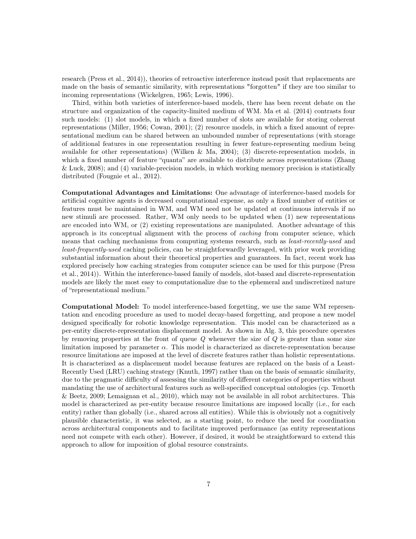research (Press et al., 2014)), theories of retroactive interference instead posit that replacements are made on the basis of semantic similarity, with representations "forgotten" if they are too similar to incoming representations (Wickelgren, 1965; Lewis, 1996).

Third, within both varieties of interference-based models, there has been recent debate on the structure and organization of the capacity-limited medium of WM. Ma et al. (2014) contrasts four such models: (1) slot models, in which a fixed number of slots are available for storing coherent representations (Miller, 1956; Cowan, 2001); (2) resource models, in which a fixed amount of representational medium can be shared between an unbounded number of representations (with storage of additional features in one representation resulting in fewer feature-representing medium being available for other representations) (Wilken & Ma, 2004); (3) discrete-representation models, in which a fixed number of feature "quanta" are available to distribute across representations (Zhang & Luck, 2008); and (4) variable-precision models, in which working memory precision is statistically distributed (Fougnie et al., 2012).

Computational Advantages and Limitations: One advantage of interference-based models for artificial cognitive agents is decreased computational expense, as only a fixed number of entities or features must be maintained in WM, and WM need not be updated at continuous intervals if no new stimuli are processed. Rather, WM only needs to be updated when (1) new representations are encoded into WM, or (2) existing representations are manipulated. Another advantage of this approach is its conceptual alignment with the process of caching from computer science, which means that caching mechanisms from computing systems research, such as *least-recently-used* and least-frequently-used caching policies, can be straightforwardly leveraged, with prior work providing substantial information about their theoretical properties and guarantees. In fact, recent work has explored precisely how caching strategies from computer science can be used for this purpose (Press et al., 2014)). Within the interference-based family of models, slot-based and discrete-representation models are likely the most easy to computationalize due to the ephemeral and undiscretized nature of "representational medium."

Computational Model: To model interference-based forgetting, we use the same WM representation and encoding procedure as used to model decay-based forgetting, and propose a new model designed specifically for robotic knowledge representation. This model can be characterized as a per-entity discrete-representation displacement model. As shown in Alg. 3, this procedure operates by removing properties at the front of queue  $Q$  whenever the size of  $Q$  is greater than some size limitation imposed by parameter  $\alpha$ . This model is characterized as discrete-representation because resource limitations are imposed at the level of discrete features rather than holistic representations. It is characterized as a displacement model because features are replaced on the basis of a Least-Recently Used (LRU) caching strategy (Knuth, 1997) rather than on the basis of semantic similarity, due to the pragmatic difficulty of assessing the similarity of different categories of properties without mandating the use of architectural features such as well-specified conceptual ontologies (cp. Tenorth & Beetz, 2009; Lemaignan et al., 2010), which may not be available in all robot architectures. This model is characterized as per-entity because resource limitations are imposed locally (i.e., for each entity) rather than globally (i.e., shared across all entities). While this is obviously not a cognitively plausible characteristic, it was selected, as a starting point, to reduce the need for coordination across architectural components and to facilitate improved performance (as entity representations need not compete with each other). However, if desired, it would be straightforward to extend this approach to allow for imposition of global resource constraints.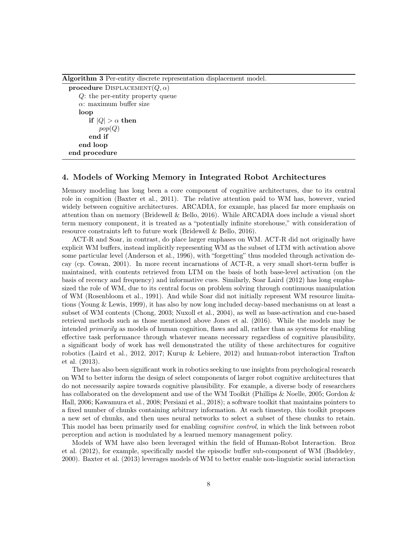| Algorithm 3 Per-entity discrete representation displacement model. |  |
|--------------------------------------------------------------------|--|
| procedure DISPLACEMENT $(Q, \alpha)$                               |  |
| $Q$ : the per-entity property queue                                |  |
| $\alpha$ : maximum buffer size                                     |  |
| loop                                                               |  |
| if $ Q  > \alpha$ then                                             |  |
| pop(Q)                                                             |  |
| end if                                                             |  |
| end loop                                                           |  |
| end procedure                                                      |  |

# 4. Models of Working Memory in Integrated Robot Architectures

Memory modeling has long been a core component of cognitive architectures, due to its central role in cognition (Baxter et al., 2011). The relative attention paid to WM has, however, varied widely between cognitive architectures. ARCADIA, for example, has placed far more emphasis on attention than on memory (Bridewell & Bello, 2016). While ARCADIA does include a visual short term memory component, it is treated as a "potentially infinite storehouse," with consideration of resource constraints left to future work (Bridewell & Bello, 2016).

ACT-R and Soar, in contrast, do place larger emphases on WM. ACT-R did not originally have explicit WM buffers, instead implicitly representing WM as the subset of LTM with activation above some particular level (Anderson et al., 1996), with "forgetting" thus modeled through activation decay (cp. Cowan, 2001). In more recent incarnations of ACT-R, a very small short-term buffer is maintained, with contents retrieved from LTM on the basis of both base-level activation (on the basis of recency and frequency) and informative cues. Similarly, Soar Laird (2012) has long emphasized the role of WM, due to its central focus on problem solving through continuous manipulation of WM (Rosenbloom et al., 1991). And while Soar did not initially represent WM resource limitations (Young & Lewis, 1999), it has also by now long included decay-based mechanisms on at least a subset of WM contents (Chong, 2003; Nuxoll et al., 2004), as well as base-activation and cue-based retrieval methods such as those mentioned above Jones et al. (2016). While the models may be intended primarily as models of human cognition, flaws and all, rather than as systems for enabling effective task performance through whatever means necessary regardless of cognitive plausibility, a significant body of work has well demonstrated the utility of these architectures for cognitive robotics (Laird et al., 2012, 2017; Kurup & Lebiere, 2012) and human-robot interaction Trafton et al. (2013).

There has also been significant work in robotics seeking to use insights from psychological research on WM to better inform the design of select components of larger robot cognitive architectures that do not necessarily aspire towards cognitive plausibility. For example, a diverse body of researchers has collaborated on the development and use of the WM Toolkit (Phillips & Noelle, 2005; Gordon & Hall, 2006; Kawamura et al., 2008; Persiani et al., 2018); a software toolkit that maintains pointers to a fixed number of chunks containing arbitrary information. At each timestep, this toolkit proposes a new set of chunks, and then uses neural networks to select a subset of these chunks to retain. This model has been primarily used for enabling cognitive control, in which the link between robot perception and action is modulated by a learned memory management policy.

Models of WM have also been leveraged within the field of Human-Robot Interaction. Broz et al. (2012), for example, specifically model the episodic buffer sub-component of WM (Baddeley, 2000). Baxter et al. (2013) leverages models of WM to better enable non-linguistic social interaction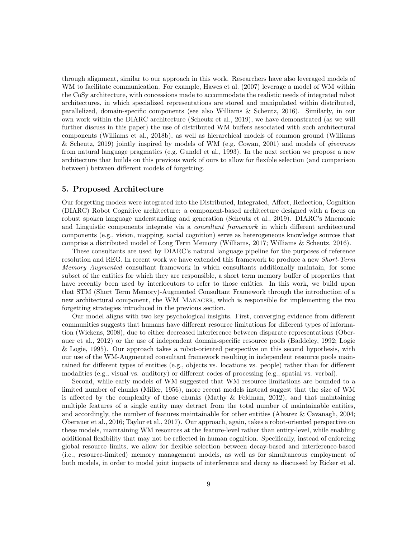through alignment, similar to our approach in this work. Researchers have also leveraged models of WM to facilitate communication. For example, Hawes et al. (2007) leverage a model of WM within the CoSy architecture, with concessions made to accommodate the realistic needs of integrated robot architectures, in which specialized representations are stored and manipulated within distributed, parallelized, domain-specific components (see also Williams & Scheutz, 2016). Similarly, in our own work within the DIARC architecture (Scheutz et al., 2019), we have demonstrated (as we will further discuss in this paper) the use of distributed WM buffers associated with such architectural components (Williams et al., 2018b), as well as hierarchical models of common ground (Williams & Scheutz, 2019) jointly inspired by models of WM (e.g. Cowan, 2001) and models of givenness from natural language pragmatics (e.g. Gundel et al., 1993). In the next section we propose a new architecture that builds on this previous work of ours to allow for flexible selection (and comparison between) between different models of forgetting.

## 5. Proposed Architecture

Our forgetting models were integrated into the Distributed, Integrated, Affect, Reflection, Cognition (DIARC) Robot Cognitive architecture: a component-based architecture designed with a focus on robust spoken language understanding and generation (Scheutz et al., 2019). DIARC's Mnemonic and Linguistic components integrate via a *consultant framework* in which different architectural components (e.g., vision, mapping, social cognition) serve as heterogeneous knowledge sources that comprise a distributed model of Long Term Memory (Williams, 2017; Williams & Scheutz, 2016).

These consultants are used by DIARC's natural language pipeline for the purposes of reference resolution and REG. In recent work we have extended this framework to produce a new Short-Term Memory Augmented consultant framework in which consultants additionally maintain, for some subset of the entities for which they are responsible, a short term memory buffer of properties that have recently been used by interlocutors to refer to those entities. In this work, we build upon that STM (Short Term Memory)-Augmented Consultant Framework through the introduction of a new architectural component, the WM Manager, which is responsible for implementing the two forgetting strategies introduced in the previous section.

Our model aligns with two key psychological insights. First, converging evidence from different communities suggests that humans have different resource limitations for different types of information (Wickens, 2008), due to either decreased interference between disparate representations (Oberauer et al., 2012) or the use of independent domain-specific resource pools (Baddeley, 1992; Logie & Logie, 1995). Our approach takes a robot-oriented perspective on this second hypothesis, with our use of the WM-Augmented consultant framework resulting in independent resource pools maintained for different types of entities (e.g., objects vs. locations vs. people) rather than for different modalities (e.g., visual vs. auditory) or different codes of processing (e.g., spatial vs. verbal).

Second, while early models of WM suggested that WM resource limitations are bounded to a limited number of chunks (Miller, 1956), more recent models instead suggest that the size of WM is affected by the complexity of those chunks (Mathy & Feldman, 2012), and that maintaining multiple features of a single entity may detract from the total number of maintainable entities, and accordingly, the number of features maintainable for other entities (Alvarez & Cavanagh, 2004; Oberauer et al., 2016; Taylor et al., 2017). Our approach, again, takes a robot-oriented perspective on these models, maintaining WM resources at the feature-level rather than entity-level, while enabling additional flexibility that may not be reflected in human cognition. Specifically, instead of enforcing global resource limits, we allow for flexible selection between decay-based and interference-based (i.e., resource-limited) memory management models, as well as for simultaneous employment of both models, in order to model joint impacts of interference and decay as discussed by Ricker et al.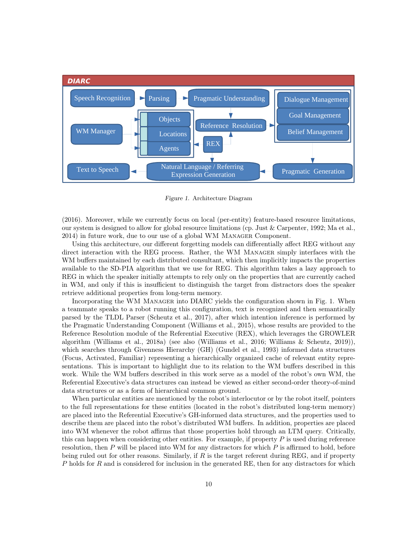

Figure 1. Architecture Diagram

(2016). Moreover, while we currently focus on local (per-entity) feature-based resource limitations, our system is designed to allow for global resource limitations (cp. Just & Carpenter, 1992; Ma et al., 2014) in future work, due to our use of a global WM Manager Component.

Using this architecture, our different forgetting models can differentially affect REG without any direct interaction with the REG process. Rather, the WM Manager simply interfaces with the WM buffers maintained by each distributed consultant, which then implicitly impacts the properties available to the SD-PIA algorithm that we use for REG. This algorithm takes a lazy approach to REG in which the speaker initially attempts to rely only on the properties that are currently cached in WM, and only if this is insufficient to distinguish the target from distractors does the speaker retrieve additional properties from long-term memory.

Incorporating the WM MANAGER into DIARC yields the configuration shown in Fig. 1. When a teammate speaks to a robot running this configuration, text is recognized and then semantically parsed by the TLDL Parser (Scheutz et al., 2017), after which intention inference is performed by the Pragmatic Understanding Component (Williams et al., 2015), whose results are provided to the Reference Resolution module of the Referential Executive (REX), which leverages the GROWLER algorithm (Williams et al., 2018a) (see also (Williams et al., 2016; Williams & Scheutz, 2019)), which searches through Givenness Hierarchy (GH) (Gundel et al., 1993) informed data structures (Focus, Activated, Familiar) representing a hierarchically organized cache of relevant entity representations. This is important to highlight due to its relation to the WM buffers described in this work. While the WM buffers described in this work serve as a model of the robot's own WM, the Referential Executive's data structures can instead be viewed as either second-order theory-of-mind data structures or as a form of hierarchical common ground.

When particular entities are mentioned by the robot's interlocutor or by the robot itself, pointers to the full representations for these entities (located in the robot's distributed long-term memory) are placed into the Referential Executive's GH-informed data structures, and the properties used to describe them are placed into the robot's distributed WM buffers. In addition, properties are placed into WM whenever the robot affirms that those properties hold through an LTM query. Critically, this can happen when considering other entities. For example, if property  $P$  is used during reference resolution, then P will be placed into WM for any distractors for which P is affirmed to hold, before being ruled out for other reasons. Similarly, if  $R$  is the target referent during REG, and if property P holds for R and is considered for inclusion in the generated RE, then for any distractors for which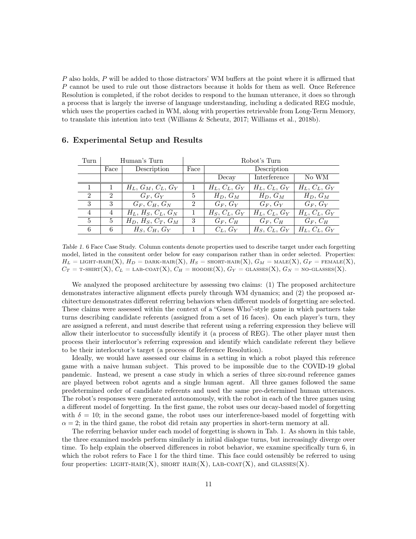$P$  also holds,  $P$  will be added to those distractors' WM buffers at the point where it is affirmed that P cannot be used to rule out those distractors because it holds for them as well. Once Reference Resolution is completed, if the robot decides to respond to the human utterance, it does so through a process that is largely the inverse of language understanding, including a dedicated REG module, which uses the properties cached in WM, along with properties retrievable from Long-Term Memory, to translate this intention into text (Williams & Scheutz, 2017; Williams et al., 2018b).

| Turn           | Human's Turn   |                               | Robot's Turn |                 |                 |                 |
|----------------|----------------|-------------------------------|--------------|-----------------|-----------------|-----------------|
|                | Face           | Description                   | Face         | Description     |                 |                 |
|                |                |                               |              | Decay           | Interference    | No WM           |
|                |                | $H_L, G_M, C_L, G_Y$          |              | $H_L, C_L, G_Y$ | $H_L, C_L, G_Y$ | $H_L, C_L, G_Y$ |
| $\mathcal{D}$  | $\overline{2}$ | $G_F, G_Y$                    | 5            | $H_D, G_M$      | $H_D, G_M$      | $H_D, G_M$      |
| 3              | 3              | $G_F, C_H, G_N$               | 2            | $G_F, G_Y$      | $G_F, G_Y$      | $G_F, G_Y$      |
| $\overline{4}$ | $\overline{4}$ | $H_L$ , $H_S$ , $C_L$ , $G_N$ |              | $H_S, C_L, G_Y$ | $H_L, C_L, G_Y$ | $H_L, C_L, G_Y$ |
| 5              | 5              | $H_D, H_S, C_T, G_M$          | 3            | $G_F, C_H$      | $G_F, G_H$      | $G_F, C_H$      |
| 6              | 6              | $H_S, C_H, G_Y$               |              | $C_L, G_Y$      | $H_S, C_L, G_Y$ | $H_L, C_L, G_Y$ |

# 6. Experimental Setup and Results

Table 1. 6 Face Case Study. Column contents denote properties used to describe target under each forgetting model, listed in the conssitent order below for easy comparison rather than in order selected. Properties:  $H_L = \text{LIGHT-HAIR}(\text{X}), H_D = \text{DARK-HAIR}(\text{X}), H_S = \text{SHORT-HAIR}(\text{X}), G_M = \text{MALE}(\text{X}), G_F = \text{FEMALE}(\text{X}),$  $C_T = \text{\texttt{T-SHIRT}}(X), C_L = \text{\texttt{LAB-COAT}}(X), C_H = \text{\texttt{HOODIE}}(X), G_Y = \text{\texttt{GLASSES}}(X), G_N = \text{\texttt{NO-GLASSES}}(X).$ 

We analyzed the proposed architecture by assessing two claims: (1) The proposed architecture demonstrates interactive alignment effects purely through WM dynamics; and (2) the proposed architecture demonstrates different referring behaviors when different models of forgetting are selected. These claims were assessed within the context of a "Guess Who"-style game in which partners take turns describing candidate referents (assigned from a set of 16 faces). On each player's turn, they are assigned a referent, and must describe that referent using a referring expression they believe will allow their interlocutor to successfully identify it (a process of REG). The other player must then process their interlocutor's referring expression and identify which candidate referent they believe to be their interlocutor's target (a process of Reference Resolution).

Ideally, we would have assessed our claims in a setting in which a robot played this reference game with a naive human subject. This proved to be impossible due to the COVID-19 global pandemic. Instead, we present a case study in which a series of three six-round reference games are played between robot agents and a single human agent. All three games followed the same predetermined order of candidate referents and used the same pre-determined human utterances. The robot's responses were generated autonomously, with the robot in each of the three games using a different model of forgetting. In the first game, the robot uses our decay-based model of forgetting with  $\delta = 10$ ; in the second game, the robot uses our interference-based model of forgetting with  $\alpha = 2$ ; in the third game, the robot did retain any properties in short-term memory at all.

The referring behavior under each model of forgetting is shown in Tab. 1. As shown in this table, the three examined models perform similarly in initial dialogue turns, but increasingly diverge over time. To help explain the observed differences in robot behavior, we examine specifically turn 6, in which the robot refers to Face 1 for the third time. This face could ostensibly be referred to using four properties: LIGHT-HAIR(X), SHORT HAIR(X), LAB-COAT(X), and GLASSES(X).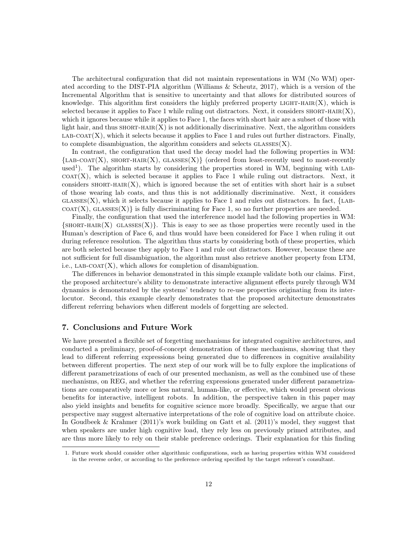The architectural configuration that did not maintain representations in WM (No WM) operated according to the DIST-PIA algorithm (Williams & Scheutz, 2017), which is a version of the Incremental Algorithm that is sensitive to uncertainty and that allows for distributed sources of knowledge. This algorithm first considers the highly preferred property LIGHT-HAIR $(X)$ , which is selected because it applies to Face 1 while ruling out distractors. Next, it considers  $SHORT-HAIR(X)$ , which it ignores because while it applies to Face 1, the faces with short hair are a subset of those with light hair, and thus  $\text{SHORT-HAIR}(X)$  is not additionally discriminative. Next, the algorithm considers  $LAB-COAT(X)$ , which it selects because it applies to Face 1 and rules out further distractors. Finally, to complete disambiguation, the algorithm considers and selects  $GLASSES(X)$ .

In contrast, the configuration that used the decay model had the following properties in WM:  ${LAB-COAT(X)}$ ,  $SHORT-HAIR(X)$ ,  $GLASSES(X)$  (ordered from least-recently used to most-recently used<sup>1</sup>). The algorithm starts by considering the properties stored in WM, beginning with LAB- $C\text{OAT}(X)$ , which is selected because it applies to Face 1 while ruling out distractors. Next, it considers  $SHORT-HAIR(X)$ , which is ignored because the set of entities with short hair is a subset of those wearing lab coats, and thus this is not additionally discriminative. Next, it considers  $GLASSES(X)$ , which it selects because it applies to Face 1 and rules out distractors. In fact, {LAB $coar(X)$ , GLASSES $(X)$  is fully discriminating for Face 1, so no further properties are needed.

Finally, the configuration that used the interference model had the following properties in WM:  $\{ \text{SHORT-HAIR}(X) \text{ GLASSES}(X) \}.$  This is easy to see as those properties were recently used in the Human's description of Face 6, and thus would have been considered for Face 1 when ruling it out during reference resolution. The algorithm thus starts by considering both of these properties, which are both selected because they apply to Face 1 and rule out distractors. However, because these are not sufficient for full disambiguation, the algorithm must also retrieve another property from LTM, i.e.,  $LAB-COAT(X)$ , which allows for completion of disambiguation.

The differences in behavior demonstrated in this simple example validate both our claims. First, the proposed architecture's ability to demonstrate interactive alignment effects purely through WM dynamics is demonstrated by the systems' tendency to re-use properties originating from its interlocutor. Second, this example clearly demonstrates that the proposed architecture demonstrates different referring behaviors when different models of forgetting are selected.

# 7. Conclusions and Future Work

We have presented a flexible set of forgetting mechanisms for integrated cognitive architectures, and conducted a preliminary, proof-of-concept demonstration of these mechanisms, showing that they lead to different referring expressions being generated due to differences in cognitive availability between different properties. The next step of our work will be to fully explore the implications of different parametrizations of each of our presented mechanism, as well as the combined use of these mechanisms, on REG, and whether the referring expressions generated under different parametrizations are comparatively more or less natural, human-like, or effective, which would present obvious benefits for interactive, intelligent robots. In addition, the perspective taken in this paper may also yield insights and benefits for cognitive science more broadly. Specifically, we argue that our perspective may suggest alternative interpretations of the role of cognitive load on attribute choice. In Goudbeek & Krahmer (2011)'s work building on Gatt et al. (2011)'s model, they suggest that when speakers are under high cognitive load, they rely less on previously primed attributes, and are thus more likely to rely on their stable preference orderings. Their explanation for this finding

<sup>1.</sup> Future work should consider other algorithmic configurations, such as having properties within WM considered in the reverse order, or according to the preference ordering specified by the target referent's consultant.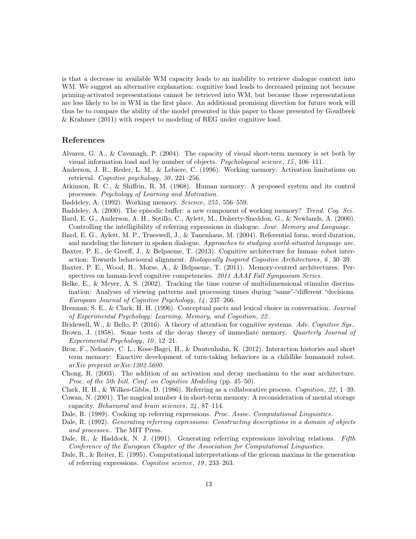is that a decrease in available WM capacity leads to an inability to retrieve dialogue context into WM. We suggest an alternative explanation: cognitive load leads to decreased priming not because priming-activated representations cannot be retrieved into WM, but because those representations are less likely to be in WM in the first place. An additional promising direction for future work will thus be to compare the ability of the model presented in this paper to those presented by Goudbeek & Krahmer (2011) with respect to modeling of REG under cognitive load.

# References

- Alvarez, G. A., & Cavanagh, P. (2004). The capacity of visual short-term memory is set both by visual information load and by number of objects. *Psychological science*,  $15$ ,  $106-111$ .
- Anderson, J. R., Reder, L. M., & Lebiere, C. (1996). Working memory: Activation limitations on retrieval. Cognitive psychology, 30, 221–256.
- Atkinson, R. C., & Shiffrin, R. M. (1968). Human memory: A proposed system and its control processes. Psychology of Learning and Motivation.
- Baddeley, A. (1992). Working memory. Science, 255 , 556–559.
- Baddeley, A. (2000). The episodic buffer: a new component of working memory? Trend. Coq. Sci.
- Bard, E. G., Anderson, A. H., Sotillo, C., Aylett, M., Doherty-Sneddon, G., & Newlands, A. (2000). Controlling the intelligibility of referring expressions in dialogue. Jour. Memory and Language.
- Bard, E. G., Aylett, M. P., Trueswell, J., & Tanenhaus, M. (2004). Referential form, word duration, and modeling the listener in spoken dialogue. Approaches to studying world-situated language use.
- Baxter, P. E., de Greeff, J., & Belpaeme, T. (2013). Cognitive architecture for human–robot interaction: Towards behavioural alignment. Biologically Inspired Cognitive Architectures , 6 , 30–39.
- Baxter, P. E., Wood, R., Morse, A., & Belpaeme, T. (2011). Memory-centred architectures: Perspectives on human-level cognitive competencies. 2011 AAAI Fall Symposium Series.
- Belke, E., & Meyer, A. S. (2002). Tracking the time course of multidimensional stimulus discrimination: Analyses of viewing patterns and processing times during "same"-"different "decisions. European Journal of Cognitive Psychology, 14 , 237–266.
- Brennan, S. E., & Clark, H. H. (1996). Conceptual pacts and lexical choice in conversation. Journal of Experimental Psychology: Learning, Memory, and Cognition, 22 .
- Bridewell, W., & Bello, P. (2016). A theory of attention for cognitive systems. Adv. Cognitive Sys..
- Brown, J. (1958). Some tests of the decay theory of immediate memory. Quarterly Journal of Experimental Psychology, 10, 12–21.
- Broz, F., Nehaniv, C. L., Kose-Bagci, H., & Dautenhahn, K. (2012). Interaction histories and short term memory: Enactive development of turn-taking behaviors in a childlike humanoid robot. arXiv preprint arXiv:1202.5600 .
- Chong, R. (2003). The addition of an activation and decay mechanism to the soar architecture. Proc. of the 5th Intl. Conf. on Cognitive Modeling (pp. 45–50).
- Clark, H. H., & Wilkes-Gibbs, D. (1986). Referring as a collaborative process. Cognition,  $22$ , 1–39.
- Cowan, N. (2001). The magical number 4 in short-term memory: A reconsideration of mental storage capacity. Behavioral and brain sciences, 24 , 87–114.
- Dale, R. (1989). Cooking up referring expressions. *Proc. Assoc. Computational Linguistics*.
- Dale, R. (1992). Generating referring expressions: Constructing descriptions in a domain of objects and processes.. The MIT Press.
- Dale, R., & Haddock, N. J. (1991). Generating referring expressions involving relations. Fifth Conference of the European Chapter of the Association for Computational Linguistics .
- Dale, R., & Reiter, E. (1995). Computational interpretations of the gricean maxims in the generation of referring expressions. Cognitive science, 19 , 233–263.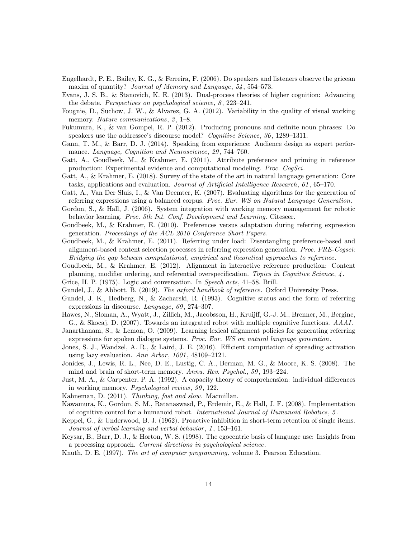- Engelhardt, P. E., Bailey, K. G., & Ferreira, F. (2006). Do speakers and listeners observe the gricean maxim of quantity? *Journal of Memory and Language*, 54, 554–573.
- Evans, J. S. B., & Stanovich, K. E. (2013). Dual-process theories of higher cognition: Advancing the debate. Perspectives on psychological science, 8, 223-241.
- Fougnie, D., Suchow, J. W., & Alvarez, G. A. (2012). Variability in the quality of visual working memory. Nature communications, 3, 1–8.
- Fukumura, K., & van Gompel, R. P. (2012). Producing pronouns and definite noun phrases: Do speakers use the addressee's discourse model? Cognitive Science, 36, 1289–1311.
- Gann, T. M., & Barr, D. J. (2014). Speaking from experience: Audience design as expert performance. Language, Cognition and Neuroscience, 29, 744–760.
- Gatt, A., Goudbeek, M., & Krahmer, E. (2011). Attribute preference and priming in reference production: Experimental evidence and computational modeling. Proc. CogSci.
- Gatt, A., & Krahmer, E. (2018). Survey of the state of the art in natural language generation: Core tasks, applications and evaluation. Journal of Artificial Intelligence Research, 61 , 65–170.
- Gatt, A., Van Der Sluis, I., & Van Deemter, K. (2007). Evaluating algorithms for the generation of referring expressions using a balanced corpus. Proc. Eur. WS on Natural Language Generation.
- Gordon, S., & Hall, J. (2006). System integration with working memory management for robotic behavior learning. Proc. 5th Int. Conf. Development and Learning. Citeseer.
- Goudbeek, M., & Krahmer, E. (2010). Preferences versus adaptation during referring expression generation. Proceedings of the ACL 2010 Conference Short Papers.
- Goudbeek, M., & Krahmer, E. (2011). Referring under load: Disentangling preference-based and alignment-based content selection processes in referring expression generation. Proc. PRE-Cogsci: Bridging the gap between computational, empirical and theoretical approaches to reference.
- Goudbeek, M., & Krahmer, E. (2012). Alignment in interactive reference production: Content planning, modifier ordering, and referential overspecification. Topics in Cognitive Science, 4 .
- Grice, H. P. (1975). Logic and conversation. In Speech acts, 41–58. Brill.
- Gundel, J., & Abbott, B. (2019). The oxford handbook of reference. Oxford University Press.
- Gundel, J. K., Hedberg, N., & Zacharski, R. (1993). Cognitive status and the form of referring expressions in discourse. Language, 69, 274-307.
- Hawes, N., Sloman, A., Wyatt, J., Zillich, M., Jacobsson, H., Kruijff, G.-J. M., Brenner, M., Berginc, G., & Skocaj, D. (2007). Towards an integrated robot with multiple cognitive functions. AAAI.
- Janarthanam, S., & Lemon, O. (2009). Learning lexical alignment policies for generating referring expressions for spoken dialogue systems. Proc. Eur. WS on natural language generation.
- Jones, S. J., Wandzel, A. R., & Laird, J. E. (2016). Efficient computation of spreading activation using lazy evaluation. Ann Arbor,  $1001$ ,  $48109-2121$ .
- Jonides, J., Lewis, R. L., Nee, D. E., Lustig, C. A., Berman, M. G., & Moore, K. S. (2008). The mind and brain of short-term memory. Annu. Rev. Psychol., 59 , 193–224.
- Just, M. A., & Carpenter, P. A. (1992). A capacity theory of comprehension: individual differences in working memory. *Psychological review*, 99, 122.
- Kahneman, D. (2011). Thinking, fast and slow. Macmillan.
- Kawamura, K., Gordon, S. M., Ratanaswasd, P., Erdemir, E., & Hall, J. F. (2008). Implementation of cognitive control for a humanoid robot. International Journal of Humanoid Robotics, 5 .
- Keppel, G., & Underwood, B. J. (1962). Proactive inhibition in short-term retention of single items. Journal of verbal learning and verbal behavior, 1, 153-161.
- Keysar, B., Barr, D. J., & Horton, W. S. (1998). The egocentric basis of language use: Insights from a processing approach. Current directions in psychological science.
- Knuth, D. E. (1997). The art of computer programming, volume 3. Pearson Education.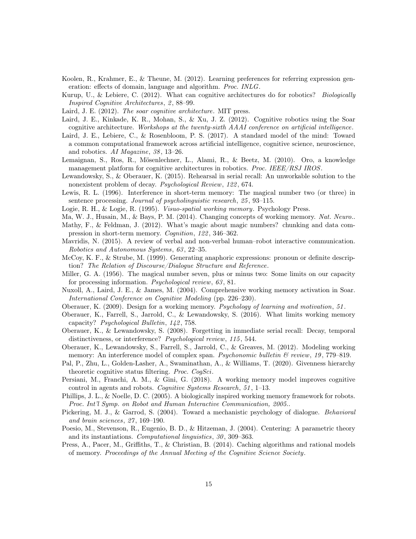- Koolen, R., Krahmer, E., & Theune, M. (2012). Learning preferences for referring expression generation: effects of domain, language and algorithm. Proc. INLG.
- Kurup, U., & Lebiere, C. (2012). What can cognitive architectures do for robotics? *Biologically* Inspired Cognitive Architectures, 2, 88–99.
- Laird, J. E. (2012). The soar cognitive architecture. MIT press.
- Laird, J. E., Kinkade, K. R., Mohan, S., & Xu, J. Z. (2012). Cognitive robotics using the Soar cognitive architecture. Workshops at the twenty-sixth AAAI conference on artificial intelligence.
- Laird, J. E., Lebiere, C., & Rosenbloom, P. S. (2017). A standard model of the mind: Toward a common computational framework across artificial intelligence, cognitive science, neuroscience, and robotics. AI Magazine, 38 , 13–26.
- Lemaignan, S., Ros, R., Mösenlechner, L., Alami, R., & Beetz, M. (2010). Oro, a knowledge management platform for cognitive architectures in robotics. Proc. IEEE/RSJ IROS.
- Lewandowsky, S., & Oberauer, K. (2015). Rehearsal in serial recall: An unworkable solution to the nonexistent problem of decay. *Psychological Review*, 122, 674.
- Lewis, R. L. (1996). Interference in short-term memory: The magical number two (or three) in sentence processing. Journal of psycholinguistic research, 25, 93–115.
- Logie, R. H., & Logie, R. (1995). Visuo-spatial working memory. Psychology Press.
- Ma, W. J., Husain, M., & Bays, P. M. (2014). Changing concepts of working memory. Nat. Neuro..
- Mathy, F., & Feldman, J. (2012). What's magic about magic numbers? chunking and data compression in short-term memory. Cognition, 122 , 346–362.
- Mavridis, N. (2015). A review of verbal and non-verbal human–robot interactive communication. Robotics and Autonomous Systems, 63 , 22–35.
- McCoy, K. F., & Strube, M. (1999). Generating anaphoric expressions: pronoun or definite description? The Relation of Discourse/Dialogue Structure and Reference.
- Miller, G. A. (1956). The magical number seven, plus or minus two: Some limits on our capacity for processing information. *Psychological review*, 63, 81.
- Nuxoll, A., Laird, J. E., & James, M. (2004). Comprehensive working memory activation in Soar. International Conference on Cognitive Modeling (pp. 226–230).
- Oberauer, K. (2009). Design for a working memory. Psychology of learning and motivation, 51.
- Oberauer, K., Farrell, S., Jarrold, C., & Lewandowsky, S. (2016). What limits working memory capacity? Psychological Bulletin, 142, 758.
- Oberauer, K., & Lewandowsky, S. (2008). Forgetting in immediate serial recall: Decay, temporal distinctiveness, or interference? *Psychological review*, 115, 544.
- Oberauer, K., Lewandowsky, S., Farrell, S., Jarrold, C., & Greaves, M. (2012). Modeling working memory: An interference model of complex span. Psychonomic bulletin  $\mathcal C$  review, 19, 779–819.
- Pal, P., Zhu, L., Golden-Lasher, A., Swaminathan, A., & Williams, T. (2020). Givenness hierarchy theoretic cognitive status filtering. Proc. CogSci.
- Persiani, M., Franchi, A. M., & Gini, G. (2018). A working memory model improves cognitive control in agents and robots. Cognitive Systems Research,  $51$ ,  $1$ –13.
- Phillips, J. L., & Noelle, D. C. (2005). A biologically inspired working memory framework for robots. Proc. Int'l Symp. on Robot and Human Interactive Communication, 2005..
- Pickering, M. J., & Garrod, S. (2004). Toward a mechanistic psychology of dialogue. Behavioral and brain sciences, 27 , 169–190.
- Poesio, M., Stevenson, R., Eugenio, B. D., & Hitzeman, J. (2004). Centering: A parametric theory and its instantiations. Computational linguistics, 30, 309-363.
- Press, A., Pacer, M., Griffiths, T., & Christian, B. (2014). Caching algorithms and rational models of memory. Proceedings of the Annual Meeting of the Cognitive Science Society.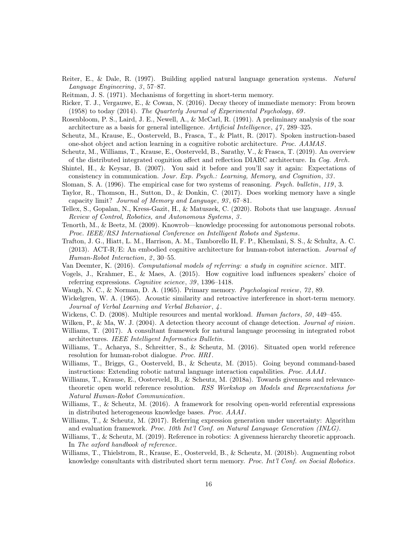- Reiter, E., & Dale, R. (1997). Building applied natural language generation systems. Natural Language Engineering, 3, 57–87.
- Reitman, J. S. (1971). Mechanisms of forgetting in short-term memory.
- Ricker, T. J., Vergauwe, E., & Cowan, N. (2016). Decay theory of immediate memory: From brown  $(1958)$  to today  $(2014)$ . The Quarterly Journal of Experimental Psychology, 69.
- Rosenbloom, P. S., Laird, J. E., Newell, A., & McCarl, R. (1991). A preliminary analysis of the soar architecture as a basis for general intelligence. Artificial Intelligence, 47 , 289–325.
- Scheutz, M., Krause, E., Oosterveld, B., Frasca, T., & Platt, R. (2017). Spoken instruction-based one-shot object and action learning in a cognitive robotic architecture. Proc. AAMAS.
- Scheutz, M., Williams, T., Krause, E., Oosterveld, B., Sarathy, V., & Frasca, T. (2019). An overview of the distributed integrated cognition affect and reflection DIARC architecture. In Cog. Arch.
- Shintel, H., & Keysar, B. (2007). You said it before and you'll say it again: Expectations of consistency in communication. Jour. Exp. Psych.: Learning, Memory, and Cognition, 33 .
- Sloman, S. A. (1996). The empirical case for two systems of reasoning. *Psych. bulletin, 119, 3.*
- Taylor, R., Thomson, H., Sutton, D., & Donkin, C. (2017). Does working memory have a single capacity limit? Journal of Memory and Language, 93 , 67–81.
- Tellex, S., Gopalan, N., Kress-Gazit, H., & Matuszek, C. (2020). Robots that use language. Annual Review of Control, Robotics, and Autonomous Systems, 3 .
- Tenorth, M., & Beetz, M. (2009). Knowrob—knowledge processing for autonomous personal robots. Proc. IEEE/RSJ International Conference on Intelligent Robots and Systems .
- Trafton, J. G., Hiatt, L. M., Harrison, A. M., Tamborello II, F. P., Khemlani, S. S., & Schultz, A. C.  $(2013)$ . ACT-R/E: An embodied cognitive architecture for human-robot interaction. *Journal of* Human-Robot Interaction, 2, 30–55.
- Van Deemter, K. (2016). Computational models of referring: a study in cognitive science. MIT.
- Vogels, J., Krahmer, E., & Maes, A. (2015). How cognitive load influences speakers' choice of referring expressions. Cognitive science, 39, 1396–1418.
- Waugh, N. C., & Norman, D. A. (1965). Primary memory. *Psychological review*, 72, 89.
- Wickelgren, W. A. (1965). Acoustic similarity and retroactive interference in short-term memory. Journal of Verbal Learning and Verbal Behavior,  $\lambda$ .
- Wickens, C. D. (2008). Multiple resources and mental workload. Human factors, 50, 449–455.
- Wilken, P., & Ma, W. J. (2004). A detection theory account of change detection. Journal of vision.
- Williams, T. (2017). A consultant framework for natural language processing in integrated robot architectures. IEEE Intelligent Informatics Bulletin.
- Williams, T., Acharya, S., Schreitter, S., & Scheutz, M. (2016). Situated open world reference resolution for human-robot dialogue. Proc. HRI.
- Williams, T., Briggs, G., Oosterveld, B., & Scheutz, M. (2015). Going beyond command-based instructions: Extending robotic natural language interaction capabilities. Proc. AAAI.
- Williams, T., Krause, E., Oosterveld, B., & Scheutz, M. (2018a). Towards givenness and relevancetheoretic open world reference resolution. RSS Workshop on Models and Representations for Natural Human-Robot Communication.
- Williams, T., & Scheutz, M. (2016). A framework for resolving open-world referential expressions in distributed heterogeneous knowledge bases. Proc. AAAI.
- Williams, T., & Scheutz, M. (2017). Referring expression generation under uncertainty: Algorithm and evaluation framework. Proc. 10th Int'l Conf. on Natural Language Generation (INLG).
- Williams, T., & Scheutz, M. (2019). Reference in robotics: A givenness hierarchy theoretic approach. In The oxford handbook of reference.
- Williams, T., Thielstrom, R., Krause, E., Oosterveld, B., & Scheutz, M. (2018b). Augmenting robot knowledge consultants with distributed short term memory. Proc. Int'l Conf. on Social Robotics.